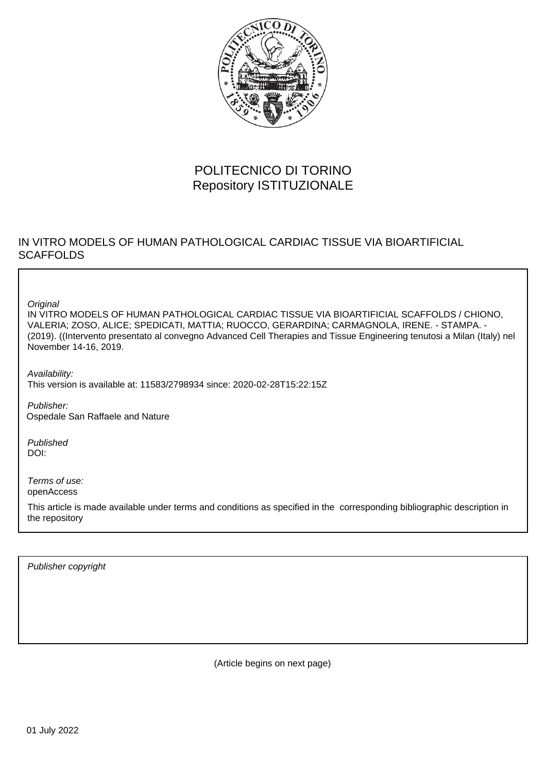

## POLITECNICO DI TORINO Repository ISTITUZIONALE

## IN VITRO MODELS OF HUMAN PATHOLOGICAL CARDIAC TISSUE VIA BIOARTIFICIAL **SCAFFOLDS**

**Original** 

IN VITRO MODELS OF HUMAN PATHOLOGICAL CARDIAC TISSUE VIA BIOARTIFICIAL SCAFFOLDS / CHIONO, VALERIA; ZOSO, ALICE; SPEDICATI, MATTIA; RUOCCO, GERARDINA; CARMAGNOLA, IRENE. - STAMPA. - (2019). ((Intervento presentato al convegno Advanced Cell Therapies and Tissue Engineering tenutosi a Milan (Italy) nel November 14-16, 2019.

Availability: This version is available at: 11583/2798934 since: 2020-02-28T15:22:15Z

Publisher: Ospedale San Raffaele and Nature

Published DOI:

Terms of use: openAccess

This article is made available under terms and conditions as specified in the corresponding bibliographic description in the repository

Publisher copyright

(Article begins on next page)